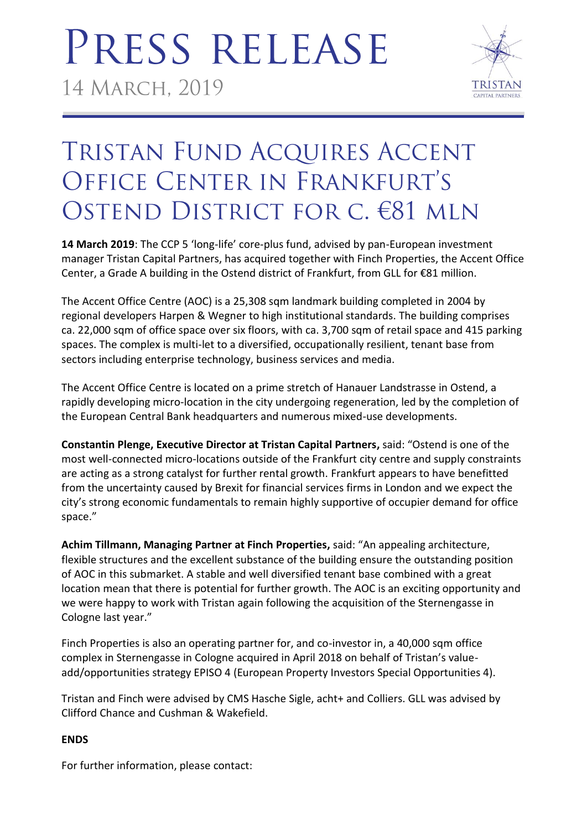# PRESS RELEASE 14 MARCH, 2019



### TRISTAN FUND ACQUIRES ACCENT OFFICE CENTER IN FRANKFURT'S OSTEND DISTRICT FOR C. €81 MLN

**14 March 2019**: The CCP 5 'long-life' core-plus fund, advised by pan-European investment manager Tristan Capital Partners, has acquired together with Finch Properties, the Accent Office Center, a Grade A building in the Ostend district of Frankfurt, from GLL for €81 million.

The Accent Office Centre (AOC) is a 25,308 sqm landmark building completed in 2004 by regional developers Harpen & Wegner to high institutional standards. The building comprises ca. 22,000 sqm of office space over six floors, with ca. 3,700 sqm of retail space and 415 parking spaces. The complex is multi-let to a diversified, occupationally resilient, tenant base from sectors including enterprise technology, business services and media.

The Accent Office Centre is located on a prime stretch of Hanauer Landstrasse in Ostend, a rapidly developing micro-location in the city undergoing regeneration, led by the completion of the European Central Bank headquarters and numerous mixed-use developments.

**Constantin Plenge, Executive Director at Tristan Capital Partners,** said: "Ostend is one of the most well-connected micro-locations outside of the Frankfurt city centre and supply constraints are acting as a strong catalyst for further rental growth. Frankfurt appears to have benefitted from the uncertainty caused by Brexit for financial services firms in London and we expect the city's strong economic fundamentals to remain highly supportive of occupier demand for office space."

**Achim Tillmann, Managing Partner at Finch Properties,** said: "An appealing architecture, flexible structures and the excellent substance of the building ensure the outstanding position of AOC in this submarket. A stable and well diversified tenant base combined with a great location mean that there is potential for further growth. The AOC is an exciting opportunity and we were happy to work with Tristan again following the acquisition of the Sternengasse in Cologne last year."

Finch Properties is also an operating partner for, and co-investor in, a 40,000 sqm office complex in Sternengasse in Cologne acquired in April 2018 on behalf of Tristan's valueadd/opportunities strategy EPISO 4 (European Property Investors Special Opportunities 4).

Tristan and Finch were advised by CMS Hasche Sigle, acht+ and Colliers. GLL was advised by Clifford Chance and Cushman & Wakefield.

### **ENDS**

For further information, please contact: